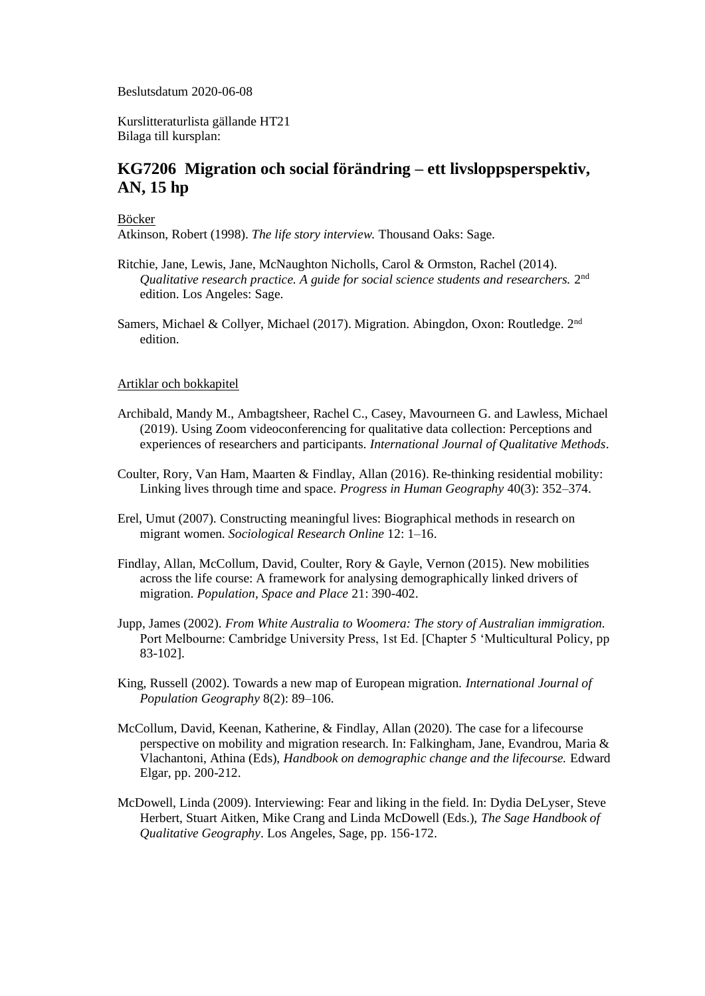Beslutsdatum 2020-06-08

Kurslitteraturlista gällande HT21 Bilaga till kursplan:

## **KG7206 Migration och social förändring – ett livsloppsperspektiv, AN, 15 hp**

Böcker

Atkinson, Robert (1998). *The life story interview.* Thousand Oaks: Sage.

- Ritchie, Jane, Lewis, Jane, McNaughton Nicholls, Carol & Ormston, Rachel (2014). Qualitative research practice. A guide for social science students and researchers. 2<sup>nd</sup> edition. Los Angeles: Sage.
- Samers, Michael & Collyer, Michael (2017). Migration. Abingdon, Oxon: Routledge. 2nd edition.

## Artiklar och bokkapitel

- Archibald, Mandy M., Ambagtsheer, Rachel C., Casey, Mavourneen G. and Lawless, Michael (2019). Using Zoom videoconferencing for qualitative data collection: Perceptions and experiences of researchers and participants. *International Journal of Qualitative Methods*.
- Coulter, Rory, Van Ham, Maarten & Findlay, Allan (2016). Re-thinking residential mobility: Linking lives through time and space. *Progress in Human Geography* 40(3): 352–374.
- Erel, Umut (2007). Constructing meaningful lives: Biographical methods in research on migrant women. *Sociological Research Online* 12: 1–16.
- Findlay, Allan, McCollum, David, Coulter, Rory & Gayle, Vernon (2015). New mobilities across the life course: A framework for analysing demographically linked drivers of migration. *Population, Space and Place* 21: 390-402.
- Jupp, James (2002). *From White Australia to Woomera: The story of Australian immigration.* Port Melbourne: Cambridge University Press, 1st Ed. [Chapter 5 'Multicultural Policy, pp 83-102].
- King, Russell (2002). Towards a new map of European migration. *International Journal of Population Geography* 8(2): 89–106.
- McCollum, David, Keenan, Katherine, & Findlay, Allan (2020). The case for a lifecourse perspective on mobility and migration research. In: Falkingham, Jane, Evandrou, Maria & Vlachantoni, Athina (Eds), *Handbook on demographic change and the lifecourse.* Edward Elgar, pp. 200-212.
- McDowell, Linda (2009). Interviewing: Fear and liking in the field. In: Dydia DeLyser, Steve Herbert, Stuart Aitken, Mike Crang and Linda McDowell (Eds.), *The Sage Handbook of Qualitative Geography*. Los Angeles, Sage, pp. 156-172.